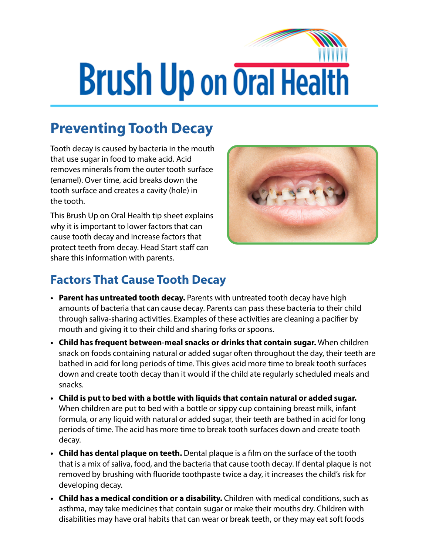# **Brush Up on Oral Health**

## **Preventing Tooth Decay**

Tooth decay is caused by bacteria in the mouth that use sugar in food to make acid. Acid removes minerals from the outer tooth surface (enamel). Over time, acid breaks down the tooth surface and creates a cavity (hole) in the tooth.

This Brush Up on Oral Health tip sheet explains why it is important to lower factors that can cause tooth decay and increase factors that protect teeth from decay. Head Start staff can share this information with parents.



#### **Factors That Cause Tooth Decay**

- **• Parent has untreated tooth decay.** Parents with untreated tooth decay have high amounts of bacteria that can cause decay. Parents can pass these bacteria to their child through saliva-sharing activities. Examples of these activities are cleaning a pacifier by mouth and giving it to their child and sharing forks or spoons.
- **• Child has frequent between-meal snacks or drinks that contain sugar.** When children snack on foods containing natural or added sugar often throughout the day, their teeth are bathed in acid for long periods of time. This gives acid more time to break tooth surfaces down and create tooth decay than it would if the child ate regularly scheduled meals and snacks.
- **• Child is put to bed with a bottle with liquids that contain natural or added sugar.** When children are put to bed with a bottle or sippy cup containing breast milk, infant formula, or any liquid with natural or added sugar, their teeth are bathed in acid for long periods of time. The acid has more time to break tooth surfaces down and create tooth decay.
- **• Child has dental plaque on teeth.** Dental plaque is a film on the surface of the tooth that is a mix of saliva, food, and the bacteria that cause tooth decay. If dental plaque is not removed by brushing with fluoride toothpaste twice a day, it increases the child's risk for developing decay.
- **• Child has a medical condition or a disability.** Children with medical conditions, such as asthma, may take medicines that contain sugar or make their mouths dry. Children with disabilities may have oral habits that can wear or break teeth, or they may eat soft foods